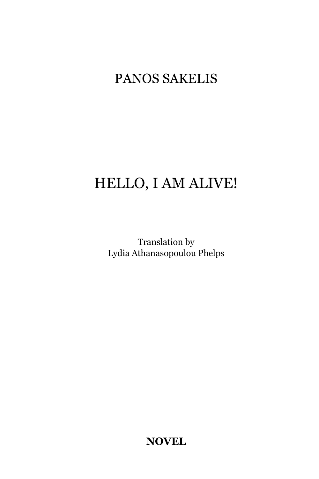## PANOS SAKELIS

## HELLO, I AM ALIVE!

Translation by Lydia Athanasopoulou Phelps

**NOVEL**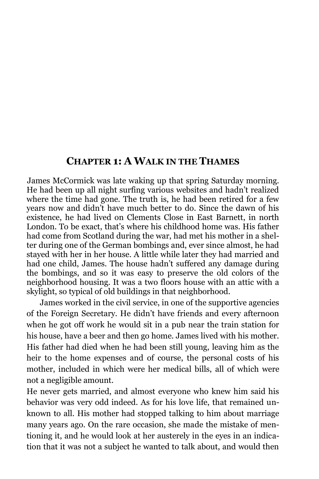## **CHAPTER 1: A WALK IN THE THAMES**

James McCormick was late waking up that spring Saturday morning. He had been up all night surfing various websites and hadn"t realized where the time had gone. The truth is, he had been retired for a few years now and didn"t have much better to do. Since the dawn of his existence, he had lived on Clements Close in East Barnett, in north London. To be exact, that's where his childhood home was. His father had come from Scotland during the war, had met his mother in a shelter during one of the German bombings and, ever since almost, he had stayed with her in her house. A little while later they had married and had one child, James. The house hadn"t suffered any damage during the bombings, and so it was easy to preserve the old colors of the neighborhood housing. It was a two floors house with an attic with a skylight, so typical of old buildings in that neighborhood.

James worked in the civil service, in one of the supportive agencies of the Foreign Secretary. He didn"t have friends and every afternoon when he got off work he would sit in a pub near the train station for his house, have a beer and then go home. James lived with his mother. His father had died when he had been still young, leaving him as the heir to the home expenses and of course, the personal costs of his mother, included in which were her medical bills, all of which were not a negligible amount.

He never gets married, and almost everyone who knew him said his behavior was very odd indeed. As for his love life, that remained unknown to all. His mother had stopped talking to him about marriage many years ago. On the rare occasion, she made the mistake of mentioning it, and he would look at her austerely in the eyes in an indication that it was not a subject he wanted to talk about, and would then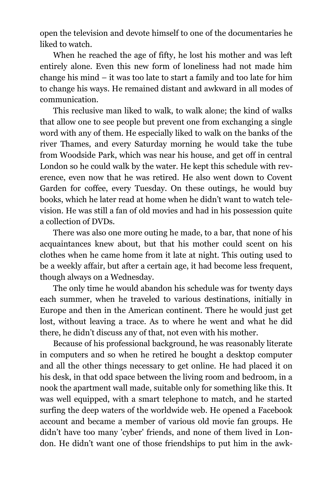open the television and devote himself to one of the documentaries he liked to watch.

When he reached the age of fifty, he lost his mother and was left entirely alone. Even this new form of loneliness had not made him change his mind – it was too late to start a family and too late for him to change his ways. He remained distant and awkward in all modes of communication.

This reclusive man liked to walk, to walk alone; the kind of walks that allow one to see people but prevent one from exchanging a single word with any of them. He especially liked to walk on the banks of the river Thames, and every Saturday morning he would take the tube from Woodside Park, which was near his house, and get off in central London so he could walk by the water. He kept this schedule with reverence, even now that he was retired. He also went down to Covent Garden for coffee, every Tuesday. On these outings, he would buy books, which he later read at home when he didn"t want to watch television. He was still a fan of old movies and had in his possession quite a collection of DVDs.

There was also one more outing he made, to a bar, that none of his acquaintances knew about, but that his mother could scent on his clothes when he came home from it late at night. This outing used to be a weekly affair, but after a certain age, it had become less frequent, though always on a Wednesday.

The only time he would abandon his schedule was for twenty days each summer, when he traveled to various destinations, initially in Europe and then in the American continent. There he would just get lost, without leaving a trace. As to where he went and what he did there, he didn"t discuss any of that, not even with his mother.

Because of his professional background, he was reasonably literate in computers and so when he retired he bought a desktop computer and all the other things necessary to get online. He had placed it on his desk, in that odd space between the living room and bedroom, in a nook the apartment wall made, suitable only for something like this. It was well equipped, with a smart telephone to match, and he started surfing the deep waters of the worldwide web. He opened a Facebook account and became a member of various old movie fan groups. He didn"t have too many 'cyber' friends, and none of them lived in London. He didn"t want one of those friendships to put him in the awk-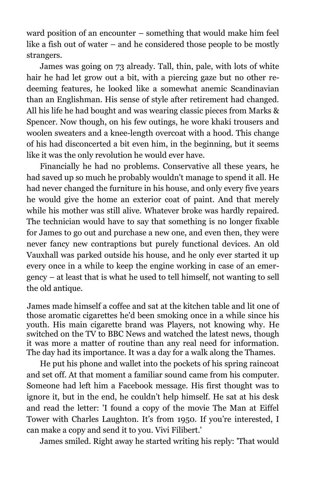ward position of an encounter – something that would make him feel like a fish out of water – and he considered those people to be mostly strangers.

James was going on 73 already. Tall, thin, pale, with lots of white hair he had let grow out a bit, with a piercing gaze but no other redeeming features, he looked like a somewhat anemic Scandinavian than an Englishman. His sense of style after retirement had changed. All his life he had bought and was wearing classic pieces from Marks & Spencer. Now though, on his few outings, he wore khaki trousers and woolen sweaters and a knee-length overcoat with a hood. This change of his had disconcerted a bit even him, in the beginning, but it seems like it was the only revolution he would ever have.

Financially he had no problems. Conservative all these years, he had saved up so much he probably wouldn't manage to spend it all. He had never changed the furniture in his house, and only every five years he would give the home an exterior coat of paint. And that merely while his mother was still alive. Whatever broke was hardly repaired. The technician would have to say that something is no longer fixable for James to go out and purchase a new one, and even then, they were never fancy new contraptions but purely functional devices. An old Vauxhall was parked outside his house, and he only ever started it up every once in a while to keep the engine working in case of an emergency – at least that is what he used to tell himself, not wanting to sell the old antique.

James made himself a coffee and sat at the kitchen table and lit one of those aromatic cigarettes he'd been smoking once in a while since his youth. His main cigarette brand was Players, not knowing why. He switched on the TV to BBC News and watched the latest news, though it was more a matter of routine than any real need for information. The day had its importance. It was a day for a walk along the Thames.

He put his phone and wallet into the pockets of his spring raincoat and set off. At that moment a familiar sound came from his computer. Someone had left him a Facebook message. His first thought was to ignore it, but in the end, he couldn"t help himself. He sat at his desk and read the letter: 'I found a copy of the movie The Man at Eiffel Tower with Charles Laughton. It's from 1950. If you're interested, I can make a copy and send it to you. Vivi Filibert.'

James smiled. Right away he started writing his reply: 'That would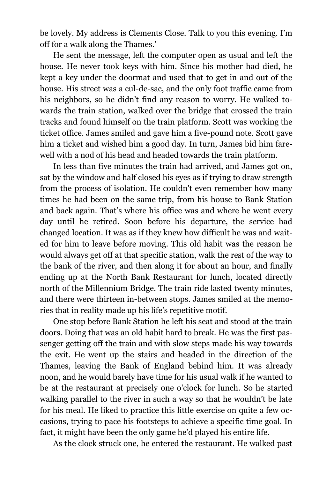be lovely. My address is Clements Close. Talk to you this evening. I"m off for a walk along the Thames.'

He sent the message, left the computer open as usual and left the house. He never took keys with him. Since his mother had died, he kept a key under the doormat and used that to get in and out of the house. His street was a cul-de-sac, and the only foot traffic came from his neighbors, so he didn't find any reason to worry. He walked towards the train station, walked over the bridge that crossed the train tracks and found himself on the train platform. Scott was working the ticket office. James smiled and gave him a five-pound note. Scott gave him a ticket and wished him a good day. In turn, James bid him farewell with a nod of his head and headed towards the train platform.

In less than five minutes the train had arrived, and James got on, sat by the window and half closed his eyes as if trying to draw strength from the process of isolation. He couldn't even remember how many times he had been on the same trip, from his house to Bank Station and back again. That"s where his office was and where he went every day until he retired. Soon before his departure, the service had changed location. It was as if they knew how difficult he was and waited for him to leave before moving. This old habit was the reason he would always get off at that specific station, walk the rest of the way to the bank of the river, and then along it for about an hour, and finally ending up at the North Bank Restaurant for lunch, located directly north of the Millennium Bridge. The train ride lasted twenty minutes, and there were thirteen in-between stops. James smiled at the memories that in reality made up his life's repetitive motif.

One stop before Bank Station he left his seat and stood at the train doors. Doing that was an old habit hard to break. He was the first passenger getting off the train and with slow steps made his way towards the exit. He went up the stairs and headed in the direction of the Thames, leaving the Bank of England behind him. It was already noon, and he would barely have time for his usual walk if he wanted to be at the restaurant at precisely one o'clock for lunch. So he started walking parallel to the river in such a way so that he wouldn"t be late for his meal. He liked to practice this little exercise on quite a few occasions, trying to pace his footsteps to achieve a specific time goal. In fact, it might have been the only game he"d played his entire life.

As the clock struck one, he entered the restaurant. He walked past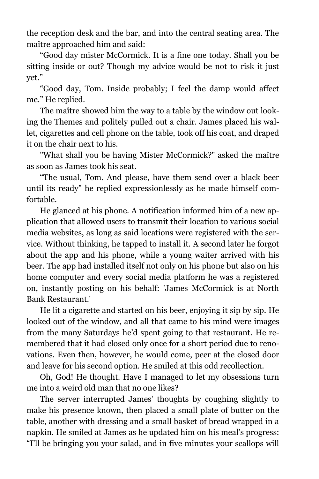the reception desk and the bar, and into the central seating area. The maître approached him and said:

"Good day mister McCormick. It is a fine one today. Shall you be sitting inside or out? Though my advice would be not to risk it just yet."

"Good day, Tom. Inside probably; I feel the damp would affect me." He replied.

The maître showed him the way to a table by the window out looking the Themes and politely pulled out a chair. James placed his wallet, cigarettes and cell phone on the table, took off his coat, and draped it on the chair next to his.

"What shall you be having Mister McCormick?" asked the maître as soon as James took his seat.

"The usual, Tom. And please, have them send over a black beer until its ready" he replied expressionlessly as he made himself comfortable.

He glanced at his phone. A notification informed him of a new application that allowed users to transmit their location to various social media websites, as long as said locations were registered with the service. Without thinking, he tapped to install it. A second later he forgot about the app and his phone, while a young waiter arrived with his beer. The app had installed itself not only on his phone but also on his home computer and every social media platform he was a registered on, instantly posting on his behalf: 'James McCormick is at North Bank Restaurant.'

He lit a cigarette and started on his beer, enjoying it sip by sip. He looked out of the window, and all that came to his mind were images from the many Saturdays he"d spent going to that restaurant. He remembered that it had closed only once for a short period due to renovations. Even then, however, he would come, peer at the closed door and leave for his second option. He smiled at this odd recollection.

Oh, God! He thought. Have I managed to let my obsessions turn me into a weird old man that no one likes?

The server interrupted James' thoughts by coughing slightly to make his presence known, then placed a small plate of butter on the table, another with dressing and a small basket of bread wrapped in a napkin. He smiled at James as he updated him on his meal's progress: "I"ll be bringing you your salad, and in five minutes your scallops will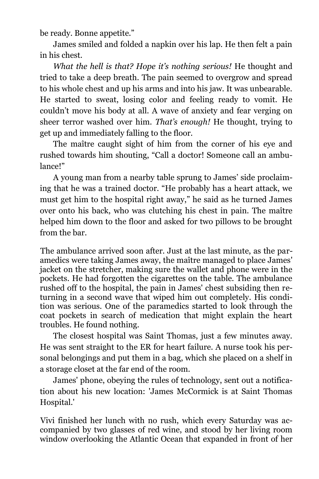be ready. Bonne appetite."

James smiled and folded a napkin over his lap. He then felt a pain in his chest.

*What the hell is that? Hope it's nothing serious!* He thought and tried to take a deep breath. The pain seemed to overgrow and spread to his whole chest and up his arms and into his jaw. It was unbearable. He started to sweat, losing color and feeling ready to vomit. He couldn"t move his body at all. A wave of anxiety and fear verging on sheer terror washed over him. *That's enough!* He thought, trying to get up and immediately falling to the floor.

The maître caught sight of him from the corner of his eye and rushed towards him shouting, "Call a doctor! Someone call an ambulance!"

A young man from a nearby table sprung to James" side proclaiming that he was a trained doctor. "He probably has a heart attack, we must get him to the hospital right away," he said as he turned James over onto his back, who was clutching his chest in pain. The maître helped him down to the floor and asked for two pillows to be brought from the bar.

The ambulance arrived soon after. Just at the last minute, as the paramedics were taking James away, the maître managed to place James' jacket on the stretcher, making sure the wallet and phone were in the pockets. He had forgotten the cigarettes on the table. The ambulance rushed off to the hospital, the pain in James' chest subsiding then returning in a second wave that wiped him out completely. His condition was serious. One of the paramedics started to look through the coat pockets in search of medication that might explain the heart troubles. He found nothing.

The closest hospital was Saint Thomas, just a few minutes away. He was sent straight to the ER for heart failure. A nurse took his personal belongings and put them in a bag, which she placed on a shelf in a storage closet at the far end of the room.

James' phone, obeying the rules of technology, sent out a notification about his new location: 'James McCormick is at Saint Thomas Hospital.'

Vivi finished her lunch with no rush, which every Saturday was accompanied by two glasses of red wine, and stood by her living room window overlooking the Atlantic Ocean that expanded in front of her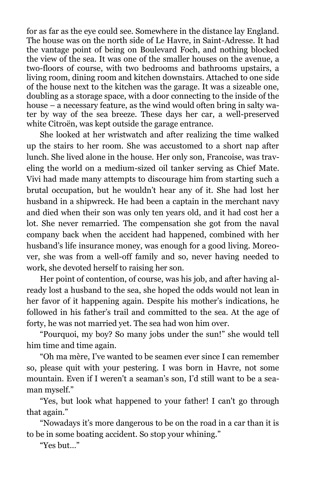for as far as the eye could see. Somewhere in the distance lay England. The house was on the north side of Le Havre, in Saint-Adresse. It had the vantage point of being on Boulevard Foch, and nothing blocked the view of the sea. It was one of the smaller houses on the avenue, a two-floors of course, with two bedrooms and bathrooms upstairs, a living room, dining room and kitchen downstairs. Attached to one side of the house next to the kitchen was the garage. It was a sizeable one, doubling as a storage space, with a door connecting to the inside of the house – a necessary feature, as the wind would often bring in salty water by way of the sea breeze. These days her car, a well-preserved white Citroën, was kept outside the garage entrance.

She looked at her wristwatch and after realizing the time walked up the stairs to her room. She was accustomed to a short nap after lunch. She lived alone in the house. Her only son, Francoise, was traveling the world on a medium-sized oil tanker serving as Chief Mate. Vivi had made many attempts to discourage him from starting such a brutal occupation, but he wouldn"t hear any of it. She had lost her husband in a shipwreck. He had been a captain in the merchant navy and died when their son was only ten years old, and it had cost her a lot. She never remarried. The compensation she got from the naval company back when the accident had happened, combined with her husband"s life insurance money, was enough for a good living. Moreover, she was from a well-off family and so, never having needed to work, she devoted herself to raising her son.

Her point of contention, of course, was his job, and after having already lost a husband to the sea, she hoped the odds would not lean in her favor of it happening again. Despite his mother"s indications, he followed in his father"s trail and committed to the sea. At the age of forty, he was not married yet. The sea had won him over.

"Pourquoi, my boy? So many jobs under the sun!" she would tell him time and time again.

"Oh ma mère, I"ve wanted to be seamen ever since I can remember so, please quit with your pestering. I was born in Havre, not some mountain. Even if I weren't a seaman"s son, I"d still want to be a seaman myself."

"Yes, but look what happened to your father! I can't go through that again."

"Nowadays it"s more dangerous to be on the road in a car than it is to be in some boating accident. So stop your whining."

"Yes but…"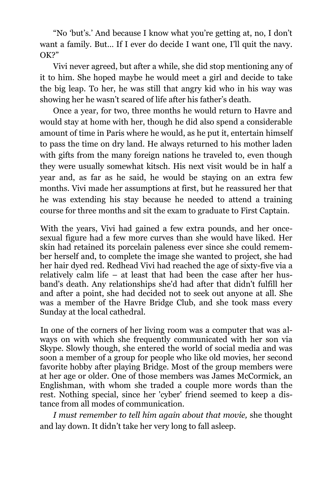"No 'but's.' And because I know what you're getting at, no, I don't want a family. But… If I ever do decide I want one, I"ll quit the navy. OK?"

Vivi never agreed, but after a while, she did stop mentioning any of it to him. She hoped maybe he would meet a girl and decide to take the big leap. To her, he was still that angry kid who in his way was showing her he wasn"t scared of life after his father"s death.

Once a year, for two, three months he would return to Havre and would stay at home with her, though he did also spend a considerable amount of time in Paris where he would, as he put it, entertain himself to pass the time on dry land. He always returned to his mother laden with gifts from the many foreign nations he traveled to, even though they were usually somewhat kitsch. His next visit would be in half a year and, as far as he said, he would be staying on an extra few months. Vivi made her assumptions at first, but he reassured her that he was extending his stay because he needed to attend a training course for three months and sit the exam to graduate to First Captain.

With the years, Vivi had gained a few extra pounds, and her oncesexual figure had a few more curves than she would have liked. Her skin had retained its porcelain paleness ever since she could remember herself and, to complete the image she wanted to project, she had her hair dyed red. Redhead Vivi had reached the age of sixty-five via a relatively calm life – at least that had been the case after her husband's death. Any relationships she'd had after that didn't fulfill her and after a point, she had decided not to seek out anyone at all. She was a member of the Havre Bridge Club, and she took mass every Sunday at the local cathedral.

In one of the corners of her living room was a computer that was always on with which she frequently communicated with her son via Skype. Slowly though, she entered the world of social media and was soon a member of a group for people who like old movies, her second favorite hobby after playing Bridge. Most of the group members were at her age or older. One of those members was James McCormick, an Englishman, with whom she traded a couple more words than the rest. Nothing special, since her 'cyber' friend seemed to keep a distance from all modes of communication.

*I must remember to tell him again about that movie,* she thought and lay down. It didn"t take her very long to fall asleep.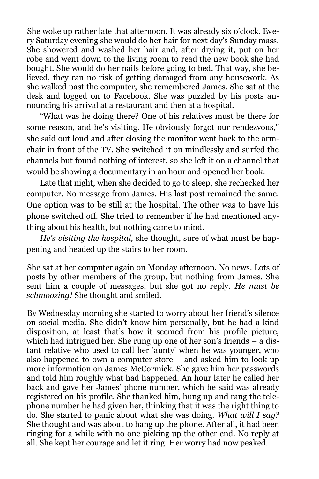She woke up rather late that afternoon. It was already six o"clock. Every Saturday evening she would do her hair for next day's Sunday mass. She showered and washed her hair and, after drying it, put on her robe and went down to the living room to read the new book she had bought. She would do her nails before going to bed. That way, she believed, they ran no risk of getting damaged from any housework. As she walked past the computer, she remembered James. She sat at the desk and logged on to Facebook. She was puzzled by his posts announcing his arrival at a restaurant and then at a hospital.

"What was he doing there? One of his relatives must be there for some reason, and he's visiting. He obviously forgot our rendezvous," she said out loud and after closing the monitor went back to the armchair in front of the TV. She switched it on mindlessly and surfed the channels but found nothing of interest, so she left it on a channel that would be showing a documentary in an hour and opened her book.

Late that night, when she decided to go to sleep, she rechecked her computer. No message from James. His last post remained the same. One option was to be still at the hospital. The other was to have his phone switched off. She tried to remember if he had mentioned anything about his health, but nothing came to mind.

*He's visiting the hospital,* she thought, sure of what must be happening and headed up the stairs to her room.

She sat at her computer again on Monday afternoon. No news. Lots of posts by other members of the group, but nothing from James. She sent him a couple of messages, but she got no reply. *He must be schmoozing!* She thought and smiled.

By Wednesday morning she started to worry about her friend"s silence on social media. She didn"t know him personally, but he had a kind disposition, at least that"s how it seemed from his profile picture, which had intrigued her. She rung up one of her son's friends  $-$  a distant relative who used to call her 'aunty' when he was younger, who also happened to own a computer store – and asked him to look up more information on James McCormick. She gave him her passwords and told him roughly what had happened. An hour later he called her back and gave her James" phone number, which he said was already registered on his profile. She thanked him, hung up and rang the telephone number he had given her, thinking that it was the right thing to do. She started to panic about what she was doing. *What will I say?* She thought and was about to hang up the phone. After all, it had been ringing for a while with no one picking up the other end. No reply at all. She kept her courage and let it ring. Her worry had now peaked.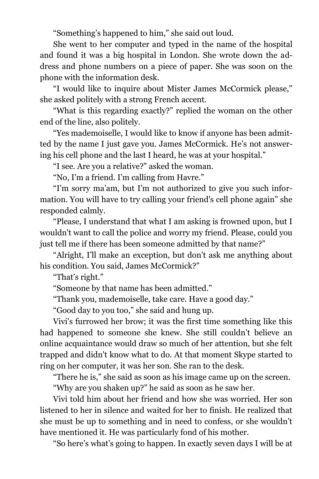"Something"s happened to him," she said out loud.

She went to her computer and typed in the name of the hospital and found it was a big hospital in London. She wrote down the address and phone numbers on a piece of paper. She was soon on the phone with the information desk.

"I would like to inquire about Mister James McCormick please," she asked politely with a strong French accent.

"What is this regarding exactly?" replied the woman on the other end of the line, also politely.

"Yes mademoiselle, I would like to know if anyone has been admitted by the name I just gave you. James McCormick. He's not answering his cell phone and the last I heard, he was at your hospital."

"I see. Are you a relative?" asked the woman.

"No, I"m a friend. I"m calling from Havre."

"I'm sorry ma'am, but I'm not authorized to give you such information. You will have to try calling your friend's cell phone again" she responded calmly.

"Please, I understand that what I am asking is frowned upon, but I wouldn't want to call the police and worry my friend. Please, could you just tell me if there has been someone admitted by that name?"

"Alright, I"ll make an exception, but don"t ask me anything about his condition. You said, James McCormick?"

"That's right."

"Someone by that name has been admitted."

"Thank you, mademoiselle, take care. Have a good day."

"Good day to you too," she said and hung up.

Vivi's furrowed her brow; it was the first time something like this had happened to someone she knew. She still couldn"t believe an online acquaintance would draw so much of her attention, but she felt trapped and didn't know what to do. At that moment Skype started to ring on her computer, it was her son. She ran to the desk.

"There he is," she said as soon as his image came up on the screen.

"Why are you shaken up?" he said as soon as he saw her.

Vivi told him about her friend and how she was worried. Her son listened to her in silence and waited for her to finish. He realized that she must be up to something and in need to confess, or she wouldn"t have mentioned it. He was particularly fond of his mother.

"So here's what's going to happen. In exactly seven days I will be at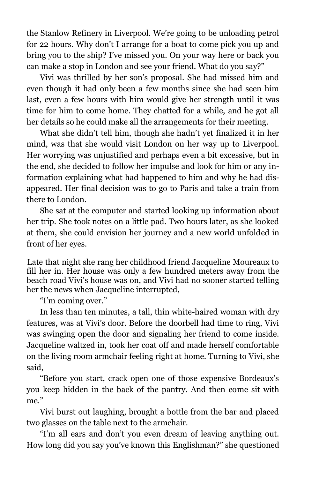the Stanlow Refinery in Liverpool. We"re going to be unloading petrol for 22 hours. Why don"t I arrange for a boat to come pick you up and bring you to the ship? I've missed you. On your way here or back you can make a stop in London and see your friend. What do you say?"

Vivi was thrilled by her son"s proposal. She had missed him and even though it had only been a few months since she had seen him last, even a few hours with him would give her strength until it was time for him to come home. They chatted for a while, and he got all her details so he could make all the arrangements for their meeting.

What she didn"t tell him, though she hadn"t yet finalized it in her mind, was that she would visit London on her way up to Liverpool. Her worrying was unjustified and perhaps even a bit excessive, but in the end, she decided to follow her impulse and look for him or any information explaining what had happened to him and why he had disappeared. Her final decision was to go to Paris and take a train from there to London.

She sat at the computer and started looking up information about her trip. She took notes on a little pad. Two hours later, as she looked at them, she could envision her journey and a new world unfolded in front of her eyes.

Late that night she rang her childhood friend Jacqueline Moureaux to fill her in. Her house was only a few hundred meters away from the beach road Vivi"s house was on, and Vivi had no sooner started telling her the news when Jacqueline interrupted,

"I"m coming over."

In less than ten minutes, a tall, thin white-haired woman with dry features, was at Vivi"s door. Before the doorbell had time to ring, Vivi was swinging open the door and signaling her friend to come inside. Jacqueline waltzed in, took her coat off and made herself comfortable on the living room armchair feeling right at home. Turning to Vivi, she said,

"Before you start, crack open one of those expensive Bordeaux"s you keep hidden in the back of the pantry. And then come sit with me."

Vivi burst out laughing, brought a bottle from the bar and placed two glasses on the table next to the armchair.

"I"m all ears and don"t you even dream of leaving anything out. How long did you say you"ve known this Englishman?" she questioned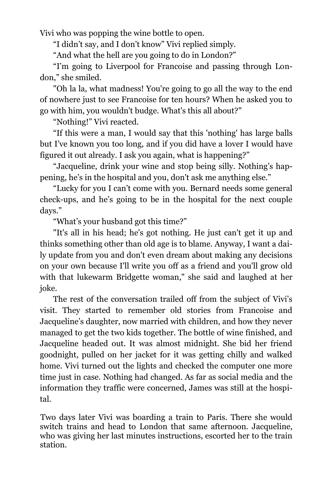Vivi who was popping the wine bottle to open.

"I didn"t say, and I don"t know" Vivi replied simply.

"And what the hell are you going to do in London?"

"I"m going to Liverpool for Francoise and passing through London," she smiled.

"Oh la la, what madness! You're going to go all the way to the end of nowhere just to see Francoise for ten hours? When he asked you to go with him, you wouldn't budge. What's this all about?"

"Nothing!" Vivi reacted.

"If this were a man, I would say that this 'nothing' has large balls but I"ve known you too long, and if you did have a lover I would have figured it out already. I ask you again, what is happening?"

"Jacqueline, drink your wine and stop being silly. Nothing"s happening, he"s in the hospital and you, don't ask me anything else."

"Lucky for you I can"t come with you. Bernard needs some general check-ups, and he"s going to be in the hospital for the next couple days."

"What"s your husband got this time?"

"It's all in his head; he's got nothing. He just can't get it up and thinks something other than old age is to blame. Anyway, I want a daily update from you and don't even dream about making any decisions on your own because I'll write you off as a friend and you'll grow old with that lukewarm Bridgette woman," she said and laughed at her joke.

The rest of the conversation trailed off from the subject of Vivi"s visit. They started to remember old stories from Francoise and Jacqueline"s daughter, now married with children, and how they never managed to get the two kids together. The bottle of wine finished, and Jacqueline headed out. It was almost midnight. She bid her friend goodnight, pulled on her jacket for it was getting chilly and walked home. Vivi turned out the lights and checked the computer one more time just in case. Nothing had changed. As far as social media and the information they traffic were concerned, James was still at the hospital.

Two days later Vivi was boarding a train to Paris. There she would switch trains and head to London that same afternoon. Jacqueline, who was giving her last minutes instructions, escorted her to the train station.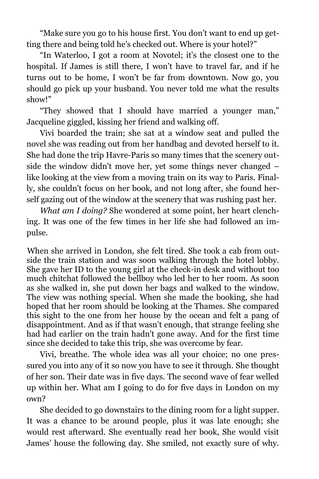"Make sure you go to his house first. You don"t want to end up getting there and being told he's checked out. Where is your hotel?"

"In Waterloo, I got a room at Novotel; it"s the closest one to the hospital. If James is still there, I won"t have to travel far, and if he turns out to be home, I won"t be far from downtown. Now go, you should go pick up your husband. You never told me what the results show!"

"They showed that I should have married a younger man," Jacqueline giggled, kissing her friend and walking off.

Vivi boarded the train; she sat at a window seat and pulled the novel she was reading out from her handbag and devoted herself to it. She had done the trip Havre-Paris so many times that the scenery outside the window didn't move her, yet some things never changed – like looking at the view from a moving train on its way to Paris. Finally, she couldn't focus on her book, and not long after, she found herself gazing out of the window at the scenery that was rushing past her.

*What am I doing?* She wondered at some point, her heart clenching. It was one of the few times in her life she had followed an impulse.

When she arrived in London, she felt tired. She took a cab from outside the train station and was soon walking through the hotel lobby. She gave her ID to the young girl at the check-in desk and without too much chitchat followed the bellboy who led her to her room. As soon as she walked in, she put down her bags and walked to the window. The view was nothing special. When she made the booking, she had hoped that her room should be looking at the Thames. She compared this sight to the one from her house by the ocean and felt a pang of disappointment. And as if that wasn"t enough, that strange feeling she had had earlier on the train hadn't gone away. And for the first time since she decided to take this trip, she was overcome by fear.

Vivi, breathe. The whole idea was all your choice; no one pressured you into any of it so now you have to see it through. She thought of her son. Their date was in five days. The second wave of fear welled up within her. What am I going to do for five days in London on my own?

She decided to go downstairs to the dining room for a light supper. It was a chance to be around people, plus it was late enough; she would rest afterward. She eventually read her book, She would visit James" house the following day. She smiled, not exactly sure of why.